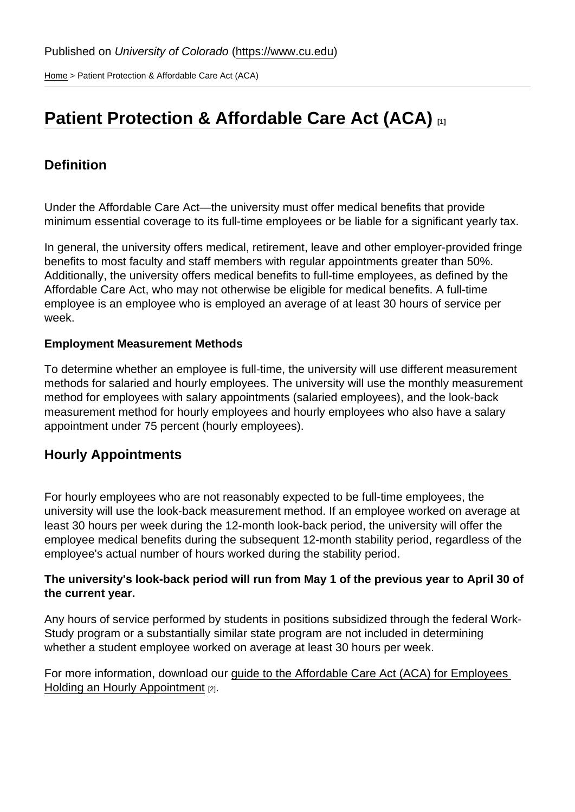[Home](https://www.cu.edu/) > Patient Protection & Affordable Care Act (ACA)

# [Patient Protection & Affordable Care Act \(ACA\)](https://www.cu.edu/employee-services/benefits-wellness/student-employee/patient-protection-affordable-care-act-aca) [1]

## **Definition**

Under the Affordable Care Act—the university must offer medical benefits that provide minimum essential coverage to its full-time employees or be liable for a significant yearly tax.

In general, the university offers medical, retirement, leave and other employer-provided fringe benefits to most faculty and staff members with regular appointments greater than 50%. Additionally, the university offers medical benefits to full-time employees, as defined by the Affordable Care Act, who may not otherwise be eligible for medical benefits. A full-time employee is an employee who is employed an average of at least 30 hours of service per week.

#### Employment Measurement Methods

To determine whether an employee is full-time, the university will use different measurement methods for salaried and hourly employees. The university will use the monthly measurement method for employees with salary appointments (salaried employees), and the look-back measurement method for hourly employees and hourly employees who also have a salary appointment under 75 percent (hourly employees).

#### Hourly Appointments

For hourly employees who are not reasonably expected to be full-time employees, the university will use the look-back measurement method. If an employee worked on average at least 30 hours per week during the 12-month look-back period, the university will offer the employee medical benefits during the subsequent 12-month stability period, regardless of the employee's actual number of hours worked during the stability period.

The university's look-back period will run from May 1 of the previous year to April 30 of the current year.

Any hours of service performed by students in positions subsidized through the federal Work-Study program or a substantially similar state program are not included in determining whether a student employee worked on average at least 30 hours per week.

For more information, download our [guide to the Affordable Care Act \(ACA\) for Employees](https://www.cu.edu/sites/default/files/aca-lookback-period.pdf)  [Holding an Hourly Appointment](https://www.cu.edu/sites/default/files/aca-lookback-period.pdf) [2].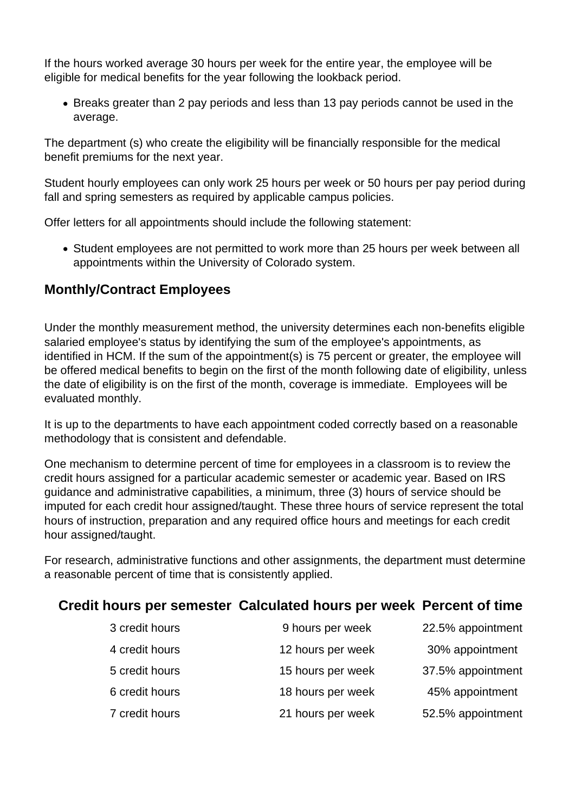If the hours worked average 30 hours per week for the entire year, the employee will be eligible for medical benefits for the year following the lookback period.

• Breaks greater than 2 pay periods and less than 13 pay periods cannot be used in the average.

The department (s) who create the eligibility will be financially responsible for the medical benefit premiums for the next year.

Student hourly employees can only work 25 hours per week or 50 hours per pay period during fall and spring semesters as required by applicable campus policies.

Offer letters for all appointments should include the following statement:

• Student employees are not permitted to work more than 25 hours per week between all appointments within the University of Colorado system.

# **Monthly/Contract Employees**

Under the monthly measurement method, the university determines each non-benefits eligible salaried employee's status by identifying the sum of the employee's appointments, as identified in HCM. If the sum of the appointment(s) is 75 percent or greater, the employee will be offered medical benefits to begin on the first of the month following date of eligibility, unless the date of eligibility is on the first of the month, coverage is immediate. Employees will be evaluated monthly.

It is up to the departments to have each appointment coded correctly based on a reasonable methodology that is consistent and defendable.

One mechanism to determine percent of time for employees in a classroom is to review the credit hours assigned for a particular academic semester or academic year. Based on IRS guidance and administrative capabilities, a minimum, three (3) hours of service should be imputed for each credit hour assigned/taught. These three hours of service represent the total hours of instruction, preparation and any required office hours and meetings for each credit hour assigned/taught.

For research, administrative functions and other assignments, the department must determine a reasonable percent of time that is consistently applied.

## **Credit hours per semester Calculated hours per week Percent of time**

| 3 credit hours | 9 hours per week  | 22.5% appointment |
|----------------|-------------------|-------------------|
| 4 credit hours | 12 hours per week | 30% appointment   |
| 5 credit hours | 15 hours per week | 37.5% appointment |
| 6 credit hours | 18 hours per week | 45% appointment   |
| 7 credit hours | 21 hours per week | 52.5% appointment |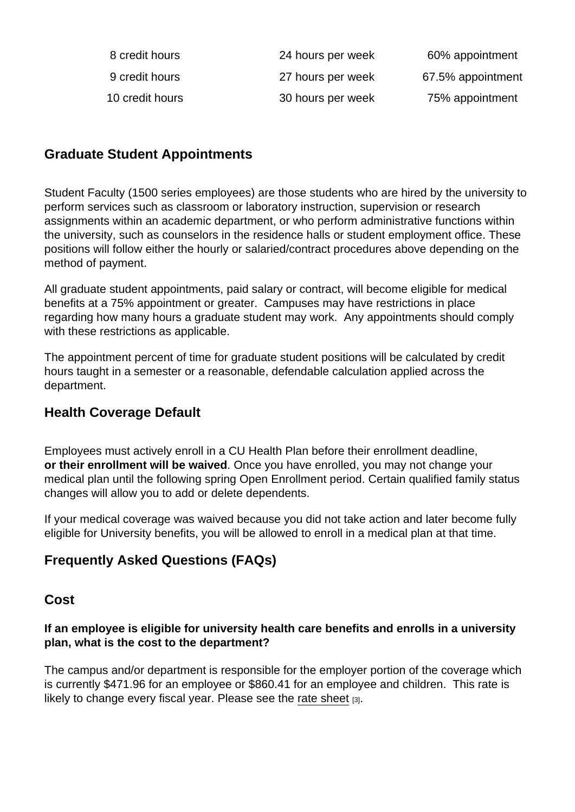| 8 credit hours  | 24 hours per week | 60% appointment   |
|-----------------|-------------------|-------------------|
| 9 credit hours  | 27 hours per week | 67.5% appointment |
| 10 credit hours | 30 hours per week | 75% appointment   |

## Graduate Student Appointments

Student Faculty (1500 series employees) are those students who are hired by the university to perform services such as classroom or laboratory instruction, supervision or research assignments within an academic department, or who perform administrative functions within the university, such as counselors in the residence halls or student employment office. These positions will follow either the hourly or salaried/contract procedures above depending on the method of payment.

All graduate student appointments, paid salary or contract, will become eligible for medical benefits at a 75% appointment or greater. Campuses may have restrictions in place regarding how many hours a graduate student may work. Any appointments should comply with these restrictions as applicable.

The appointment percent of time for graduate student positions will be calculated by credit hours taught in a semester or a reasonable, defendable calculation applied across the department.

#### Health Coverage Default

Employees must actively enroll in a CU Health Plan before their enrollment deadline, or their enrollment will be waived . Once you have enrolled, you may not change your medical plan until the following spring Open Enrollment period. Certain qualified family status changes will allow you to add or delete dependents.

If your medical coverage was waived because you did not take action and later become fully eligible for University benefits, you will be allowed to enroll in a medical plan at that time.

## Frequently Asked Questions (FAQs)

#### Cost

If an employee is eligible for university health care benefits and enrolls in a university plan, what is the cost to the department?

The campus and/or department is responsible for the employer portion of the coverage which is currently \$471.96 for an employee or \$860.41 for an employee and children. This rate is likely to change every fiscal year. Please see the [rate sheet](https://www.cu.edu/docs/faculty-staff-rate-sheet) [3].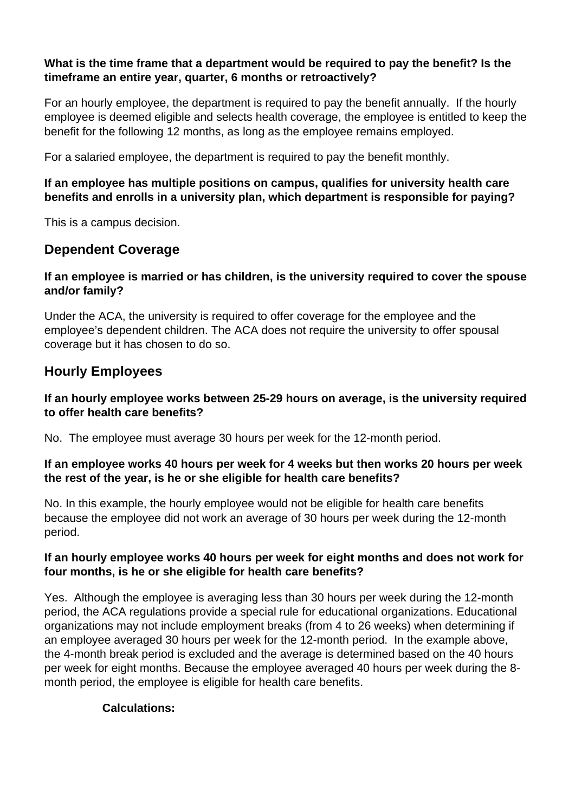#### **What is the time frame that a department would be required to pay the benefit? Is the timeframe an entire year, quarter, 6 months or retroactively?**

For an hourly employee, the department is required to pay the benefit annually. If the hourly employee is deemed eligible and selects health coverage, the employee is entitled to keep the benefit for the following 12 months, as long as the employee remains employed.

For a salaried employee, the department is required to pay the benefit monthly.

#### **If an employee has multiple positions on campus, qualifies for university health care benefits and enrolls in a university plan, which department is responsible for paying?**

This is a campus decision.

## **Dependent Coverage**

#### **If an employee is married or has children, is the university required to cover the spouse and/or family?**

Under the ACA, the university is required to offer coverage for the employee and the employee's dependent children. The ACA does not require the university to offer spousal coverage but it has chosen to do so.

## **Hourly Employees**

#### **If an hourly employee works between 25-29 hours on average, is the university required to offer health care benefits?**

No. The employee must average 30 hours per week for the 12-month period.

#### **If an employee works 40 hours per week for 4 weeks but then works 20 hours per week the rest of the year, is he or she eligible for health care benefits?**

No. In this example, the hourly employee would not be eligible for health care benefits because the employee did not work an average of 30 hours per week during the 12-month period.

#### **If an hourly employee works 40 hours per week for eight months and does not work for four months, is he or she eligible for health care benefits?**

Yes. Although the employee is averaging less than 30 hours per week during the 12-month period, the ACA regulations provide a special rule for educational organizations. Educational organizations may not include employment breaks (from 4 to 26 weeks) when determining if an employee averaged 30 hours per week for the 12-month period. In the example above, the 4-month break period is excluded and the average is determined based on the 40 hours per week for eight months. Because the employee averaged 40 hours per week during the 8 month period, the employee is eligible for health care benefits.

#### **Calculations:**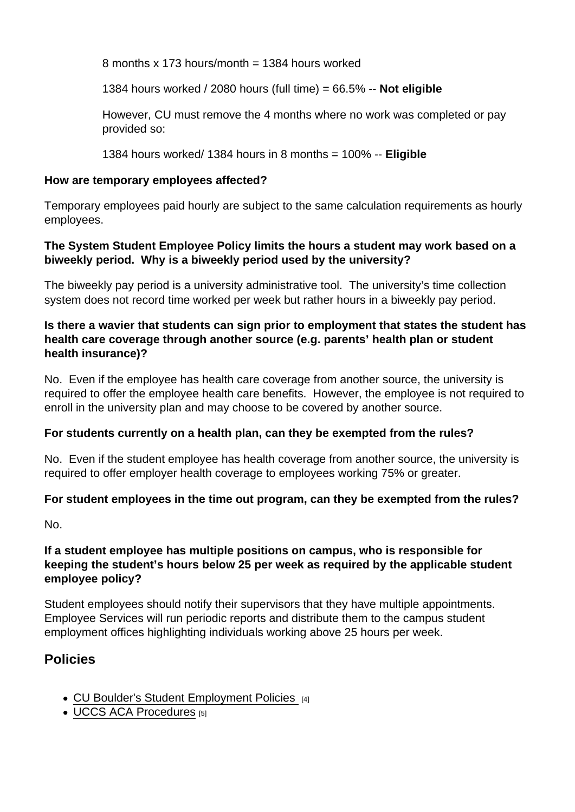8 months x 173 hours/month = 1384 hours worked

1384 hours worked / 2080 hours (full time) = 66.5% -- Not eligible

However, CU must remove the 4 months where no work was completed or pay provided so:

1384 hours worked/ 1384 hours in 8 months =  $100\%$  -- Eligible

How are temporary employees affected?

Temporary employees paid hourly are subject to the same calculation requirements as hourly employees.

The System Student Employee Policy limits the hours a student may work based on a biweekly period. Why is a biweekly period used by the university?

The biweekly pay period is a university administrative tool. The university's time collection system does not record time worked per week but rather hours in a biweekly pay period.

Is there a wavier that students can sign prior to employment that states the student has health care coverage through another source (e.g. parents' health plan or student health insurance)?

No. Even if the employee has health care coverage from another source, the university is required to offer the employee health care benefits. However, the employee is not required to enroll in the university plan and may choose to be covered by another source.

For students currently on a health plan, can they be exempted from the rules?

No. Even if the student employee has health coverage from another source, the university is required to offer employer health coverage to employees working 75% or greater.

For student employees in the time out program, can they be exempted from the rules?

No.

If a student employee has multiple positions on campus, who is responsible for keeping the student's hours below 25 per week as required by the applicable student employee policy?

Student employees should notify their supervisors that they have multiple appointments. Employee Services will run periodic reports and distribute them to the campus student employment offices highlighting individuals working above 25 hours per week.

## Policies

- [CU Boulder's Student Employment Policies](https://www.colorado.edu/studentemployment/policies) [4]
- [UCCS ACA Procedures](https://www.uccs.edu/vcaf/sites/vcaf/files/inline-files/300-020_0.pdf) [5]